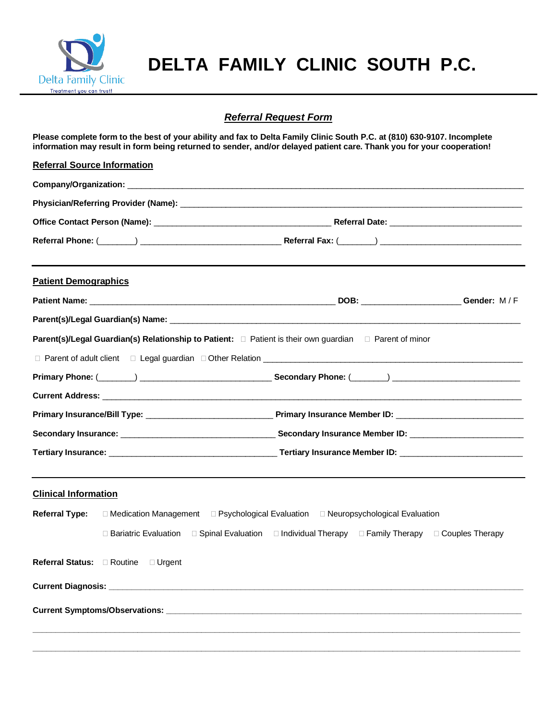

## *Referral Request Form*

**Please complete form to the best of your ability and fax to Delta Family Clinic South P.C. at (810) 630-9107. Incomplete information may result in form being returned to sender, and/or delayed patient care. Thank you for your cooperation!**

| <b>Referral Source Information</b>                                                                             |                                                                                                 |  |
|----------------------------------------------------------------------------------------------------------------|-------------------------------------------------------------------------------------------------|--|
|                                                                                                                |                                                                                                 |  |
|                                                                                                                |                                                                                                 |  |
|                                                                                                                |                                                                                                 |  |
|                                                                                                                |                                                                                                 |  |
| <b>Patient Demographics</b>                                                                                    |                                                                                                 |  |
|                                                                                                                |                                                                                                 |  |
|                                                                                                                |                                                                                                 |  |
| Parent(s)/Legal Guardian(s) Relationship to Patient: □ Patient is their own guardian □ Parent of minor         |                                                                                                 |  |
|                                                                                                                |                                                                                                 |  |
|                                                                                                                |                                                                                                 |  |
| Current Address: University of the Contract of the Contract of the Contract of the Contract of the Contract of |                                                                                                 |  |
|                                                                                                                |                                                                                                 |  |
|                                                                                                                |                                                                                                 |  |
|                                                                                                                |                                                                                                 |  |
| <b>Clinical Information</b>                                                                                    |                                                                                                 |  |
| <b>Referral Type:</b>                                                                                          | □ Medication Management □ Psychological Evaluation □ Neuropsychological Evaluation              |  |
| $\Box$ Bariatric Evaluation                                                                                    | $\Box$ Spinal Evaluation $\Box$ Individual Therapy $\Box$ Family Therapy $\Box$ Couples Therapy |  |
| Referral Status: <b>E</b> Routine<br>$\Box$ Urgent                                                             |                                                                                                 |  |
|                                                                                                                |                                                                                                 |  |
|                                                                                                                |                                                                                                 |  |
|                                                                                                                |                                                                                                 |  |
|                                                                                                                |                                                                                                 |  |